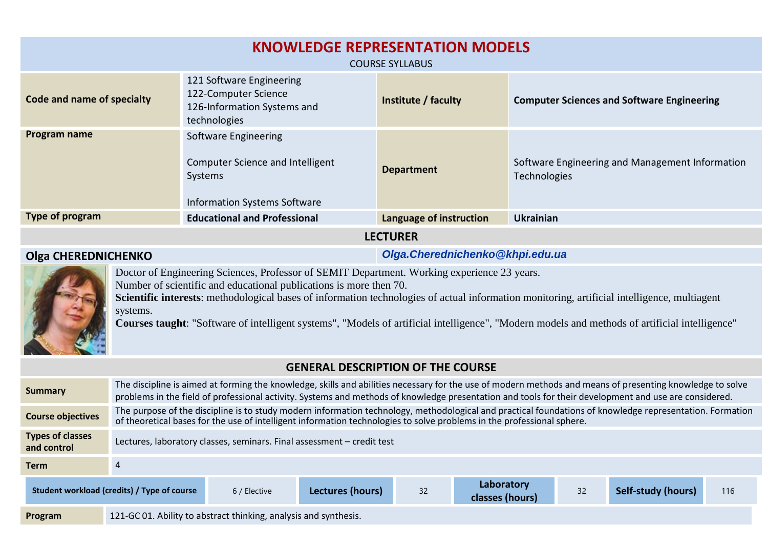| <b>KNOWLEDGE REPRESENTATION MODELS</b><br><b>COURSE SYLLABUS</b> |                                                                                                            |                         |                                                                 |  |  |
|------------------------------------------------------------------|------------------------------------------------------------------------------------------------------------|-------------------------|-----------------------------------------------------------------|--|--|
| Code and name of specialty                                       | 121 Software Engineering<br>122-Computer Science<br>126-Information Systems and<br>technologies            | Institute / faculty     | <b>Computer Sciences and Software Engineering</b>               |  |  |
| Program name                                                     | Software Engineering<br>Computer Science and Intelligent<br>Systems<br><b>Information Systems Software</b> | <b>Department</b>       | Software Engineering and Management Information<br>Technologies |  |  |
| Type of program                                                  | <b>Educational and Professional</b>                                                                        | Language of instruction | <b>Ukrainian</b>                                                |  |  |
| <b>LECTURER</b>                                                  |                                                                                                            |                         |                                                                 |  |  |

**Olga CHEREDNICHENKO** *Olga.Cherednichenko@khpi.edu.ua*



Doctor of Engineering Sciences, Professor of SEMIT Department. Working experience 23 years.

Number of scientific and educational publications is more then 70.

**Scientific interests**: methodological bases of information technologies of actual information monitoring, artificial intelligence, multiagent systems.

**Courses taught**: "Software of intelligent systems", "Models of artificial intelligence", "Modern models and methods of artificial intelligence"

# **GENERAL DESCRIPTION OF THE COURSE**

| <b>Summary</b>                         | The discipline is aimed at forming the knowledge, skills and abilities necessary for the use of modern methods and means of presenting knowledge to solve<br>problems in the field of professional activity. Systems and methods of knowledge presentation and tools for their development and use are considered. |              |                  |    |                               |    |                    |     |
|----------------------------------------|--------------------------------------------------------------------------------------------------------------------------------------------------------------------------------------------------------------------------------------------------------------------------------------------------------------------|--------------|------------------|----|-------------------------------|----|--------------------|-----|
| <b>Course objectives</b>               | The purpose of the discipline is to study modern information technology, methodological and practical foundations of knowledge representation. Formation<br>of theoretical bases for the use of intelligent information technologies to solve problems in the professional sphere.                                 |              |                  |    |                               |    |                    |     |
| <b>Types of classes</b><br>and control | Lectures, laboratory classes, seminars. Final assessment - credit test                                                                                                                                                                                                                                             |              |                  |    |                               |    |                    |     |
| <b>Term</b>                            | 4                                                                                                                                                                                                                                                                                                                  |              |                  |    |                               |    |                    |     |
|                                        | Student workload (credits) / Type of course                                                                                                                                                                                                                                                                        | 6 / Elective | Lectures (hours) | 32 | Laboratory<br>classes (hours) | 32 | Self-study (hours) | 116 |
| Program                                | 121-GC 01. Ability to abstract thinking, analysis and synthesis.                                                                                                                                                                                                                                                   |              |                  |    |                               |    |                    |     |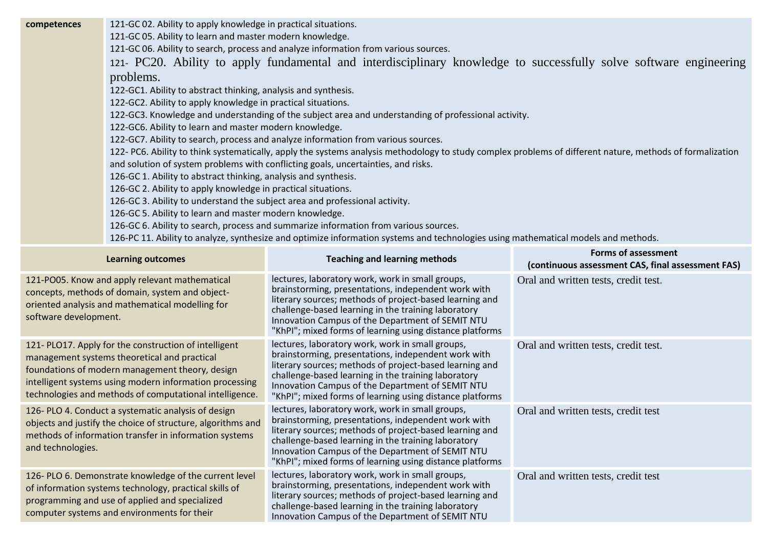| competences | 121-GC 02. Ability to apply knowledge in practical situations.                                                                                                                                                                                                                                                                                                                                                                                          |                                                                                                                                                          |                                                                                      |  |  |  |  |
|-------------|---------------------------------------------------------------------------------------------------------------------------------------------------------------------------------------------------------------------------------------------------------------------------------------------------------------------------------------------------------------------------------------------------------------------------------------------------------|----------------------------------------------------------------------------------------------------------------------------------------------------------|--------------------------------------------------------------------------------------|--|--|--|--|
|             | 121-GC 05. Ability to learn and master modern knowledge.                                                                                                                                                                                                                                                                                                                                                                                                |                                                                                                                                                          |                                                                                      |  |  |  |  |
|             | 121-GC 06. Ability to search, process and analyze information from various sources.                                                                                                                                                                                                                                                                                                                                                                     |                                                                                                                                                          |                                                                                      |  |  |  |  |
|             |                                                                                                                                                                                                                                                                                                                                                                                                                                                         | 121- PC20. Ability to apply fundamental and interdisciplinary knowledge to successfully solve software engineering                                       |                                                                                      |  |  |  |  |
|             | problems.                                                                                                                                                                                                                                                                                                                                                                                                                                               |                                                                                                                                                          |                                                                                      |  |  |  |  |
|             | 122-GC1. Ability to abstract thinking, analysis and synthesis.                                                                                                                                                                                                                                                                                                                                                                                          |                                                                                                                                                          |                                                                                      |  |  |  |  |
|             | 122-GC2. Ability to apply knowledge in practical situations.                                                                                                                                                                                                                                                                                                                                                                                            |                                                                                                                                                          |                                                                                      |  |  |  |  |
|             |                                                                                                                                                                                                                                                                                                                                                                                                                                                         | 122-GC3. Knowledge and understanding of the subject area and understanding of professional activity.                                                     |                                                                                      |  |  |  |  |
|             | 122-GC6. Ability to learn and master modern knowledge.                                                                                                                                                                                                                                                                                                                                                                                                  |                                                                                                                                                          |                                                                                      |  |  |  |  |
|             | 122-GC7. Ability to search, process and analyze information from various sources.                                                                                                                                                                                                                                                                                                                                                                       |                                                                                                                                                          |                                                                                      |  |  |  |  |
|             |                                                                                                                                                                                                                                                                                                                                                                                                                                                         | 122-PC6. Ability to think systematically, apply the systems analysis methodology to study complex problems of different nature, methods of formalization |                                                                                      |  |  |  |  |
|             | and solution of system problems with conflicting goals, uncertainties, and risks.<br>126-GC 1. Ability to abstract thinking, analysis and synthesis.<br>126-GC 2. Ability to apply knowledge in practical situations.<br>126-GC 3. Ability to understand the subject area and professional activity.<br>126-GC 5. Ability to learn and master modern knowledge.<br>126-GC 6. Ability to search, process and summarize information from various sources. |                                                                                                                                                          |                                                                                      |  |  |  |  |
|             |                                                                                                                                                                                                                                                                                                                                                                                                                                                         |                                                                                                                                                          |                                                                                      |  |  |  |  |
|             |                                                                                                                                                                                                                                                                                                                                                                                                                                                         |                                                                                                                                                          |                                                                                      |  |  |  |  |
|             |                                                                                                                                                                                                                                                                                                                                                                                                                                                         |                                                                                                                                                          |                                                                                      |  |  |  |  |
|             |                                                                                                                                                                                                                                                                                                                                                                                                                                                         |                                                                                                                                                          |                                                                                      |  |  |  |  |
|             |                                                                                                                                                                                                                                                                                                                                                                                                                                                         |                                                                                                                                                          |                                                                                      |  |  |  |  |
|             |                                                                                                                                                                                                                                                                                                                                                                                                                                                         | 126-PC 11. Ability to analyze, synthesize and optimize information systems and technologies using mathematical models and methods.                       |                                                                                      |  |  |  |  |
|             | <b>Learning outcomes</b>                                                                                                                                                                                                                                                                                                                                                                                                                                | <b>Teaching and learning methods</b>                                                                                                                     | <b>Forms of assessment</b><br>$l$ continuous assossment $CAC$ final assossment $CAC$ |  |  |  |  |

| Learning outcomes                                                                                                                                                                                                                                                              | Teaching and learning methods                                                                                                                                                                                                                                                                                                             | (continuous assessment CAS, final assessment FAS) |  |
|--------------------------------------------------------------------------------------------------------------------------------------------------------------------------------------------------------------------------------------------------------------------------------|-------------------------------------------------------------------------------------------------------------------------------------------------------------------------------------------------------------------------------------------------------------------------------------------------------------------------------------------|---------------------------------------------------|--|
| 121-PO05. Know and apply relevant mathematical<br>concepts, methods of domain, system and object-<br>oriented analysis and mathematical modelling for<br>software development.                                                                                                 | lectures, laboratory work, work in small groups,<br>brainstorming, presentations, independent work with<br>literary sources; methods of project-based learning and<br>challenge-based learning in the training laboratory<br>Innovation Campus of the Department of SEMIT NTU<br>"KhPI"; mixed forms of learning using distance platforms | Oral and written tests, credit test.              |  |
| 121- PLO17. Apply for the construction of intelligent<br>management systems theoretical and practical<br>foundations of modern management theory, design<br>intelligent systems using modern information processing<br>technologies and methods of computational intelligence. | lectures, laboratory work, work in small groups,<br>brainstorming, presentations, independent work with<br>literary sources; methods of project-based learning and<br>challenge-based learning in the training laboratory<br>Innovation Campus of the Department of SEMIT NTU<br>"KhPI"; mixed forms of learning using distance platforms | Oral and written tests, credit test.              |  |
| 126-PLO 4. Conduct a systematic analysis of design<br>objects and justify the choice of structure, algorithms and<br>methods of information transfer in information systems<br>and technologies.                                                                               | lectures, laboratory work, work in small groups,<br>brainstorming, presentations, independent work with<br>literary sources; methods of project-based learning and<br>challenge-based learning in the training laboratory<br>Innovation Campus of the Department of SEMIT NTU<br>"KhPI"; mixed forms of learning using distance platforms | Oral and written tests, credit test               |  |
| 126- PLO 6. Demonstrate knowledge of the current level<br>of information systems technology, practical skills of<br>programming and use of applied and specialized<br>computer systems and environments for their                                                              | lectures, laboratory work, work in small groups,<br>brainstorming, presentations, independent work with<br>literary sources; methods of project-based learning and<br>challenge-based learning in the training laboratory<br>Innovation Campus of the Department of SEMIT NTU                                                             | Oral and written tests, credit test               |  |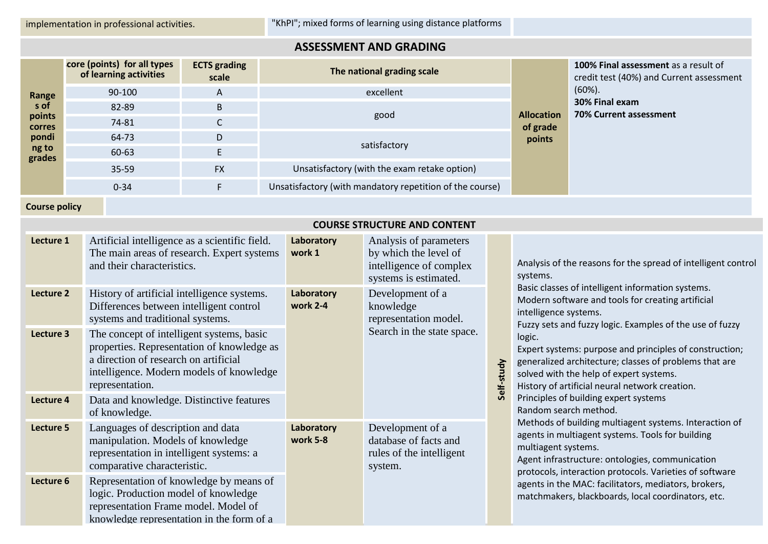# **ASSESSMENT AND GRADING**

|                         | core (points) for all types<br>of learning activities | <b>ECTS</b> grading<br>scale | The national grading scale                               |                                         | 100% Final assessment as a result of<br>credit test (40%) and Current assessment<br>$(60\%)$ . |
|-------------------------|-------------------------------------------------------|------------------------------|----------------------------------------------------------|-----------------------------------------|------------------------------------------------------------------------------------------------|
| Range                   | 90-100                                                | A                            | excellent                                                |                                         |                                                                                                |
| s of                    | 82-89                                                 | B                            |                                                          |                                         | 30% Final exam<br>70% Current assessment                                                       |
| points<br><b>corres</b> | 74-81                                                 | $\sqrt{ }$<br>U              | good                                                     | <b>Allocation</b><br>of grade<br>points |                                                                                                |
| pondi                   | 64-73                                                 | D                            | satisfactory                                             |                                         |                                                                                                |
| ng to<br>grades         | 60-63                                                 |                              |                                                          |                                         |                                                                                                |
|                         | 35-59                                                 | <b>FX</b>                    | Unsatisfactory (with the exam retake option)             |                                         |                                                                                                |
|                         | $0 - 34$                                              | F                            | Unsatisfactory (with mandatory repetition of the course) |                                         |                                                                                                |

**Course policy**

## **COURSE STRUCTURE AND CONTENT**

| Lecture 1 | Artificial intelligence as a scientific field.<br>The main areas of research. Expert systems<br>and their characteristics.                                                                      | Laboratory<br>work 1                                                                                           | Analysis of parameters<br>by which the level of<br>intelligence of complex<br>systems is estimated. |                                                                                                                                                                                                                                                                                                                                                                                                                         | Analysis of the reasons for the spread of intelligent control<br>systems.                                                                                                                                                                       |
|-----------|-------------------------------------------------------------------------------------------------------------------------------------------------------------------------------------------------|----------------------------------------------------------------------------------------------------------------|-----------------------------------------------------------------------------------------------------|-------------------------------------------------------------------------------------------------------------------------------------------------------------------------------------------------------------------------------------------------------------------------------------------------------------------------------------------------------------------------------------------------------------------------|-------------------------------------------------------------------------------------------------------------------------------------------------------------------------------------------------------------------------------------------------|
| Lecture 2 | History of artificial intelligence systems.<br>Differences between intelligent control<br>systems and traditional systems.                                                                      | Development of a<br>Laboratory<br>work 2-4<br>knowledge<br>representation model.<br>Search in the state space. |                                                                                                     | Basic classes of intelligent information systems.<br>Modern software and tools for creating artificial<br>intelligence systems.<br>Fuzzy sets and fuzzy logic. Examples of the use of fuzzy<br>logic.<br>Expert systems: purpose and principles of construction;<br>generalized architecture; classes of problems that are<br>solved with the help of expert systems.<br>History of artificial neural network creation. |                                                                                                                                                                                                                                                 |
| Lecture 3 | The concept of intelligent systems, basic<br>properties. Representation of knowledge as<br>a direction of research on artificial<br>intelligence. Modern models of knowledge<br>representation. |                                                                                                                | study<br>Self-                                                                                      |                                                                                                                                                                                                                                                                                                                                                                                                                         |                                                                                                                                                                                                                                                 |
| Lecture 4 | Data and knowledge. Distinctive features<br>of knowledge.                                                                                                                                       |                                                                                                                |                                                                                                     |                                                                                                                                                                                                                                                                                                                                                                                                                         | Principles of building expert systems<br>Random search method.                                                                                                                                                                                  |
| Lecture 5 | Languages of description and data<br>manipulation. Models of knowledge<br>representation in intelligent systems: a<br>comparative characteristic.                                               | Laboratory<br>work 5-8                                                                                         | Development of a<br>database of facts and<br>rules of the intelligent<br>system.                    |                                                                                                                                                                                                                                                                                                                                                                                                                         | Methods of building multiagent systems. Interaction of<br>agents in multiagent systems. Tools for building<br>multiagent systems.<br>Agent infrastructure: ontologies, communication<br>protocols, interaction protocols. Varieties of software |
| Lecture 6 | Representation of knowledge by means of<br>logic. Production model of knowledge<br>representation Frame model. Model of<br>knowledge representation in the form of a                            |                                                                                                                |                                                                                                     |                                                                                                                                                                                                                                                                                                                                                                                                                         | agents in the MAC: facilitators, mediators, brokers,<br>matchmakers, blackboards, local coordinators, etc.                                                                                                                                      |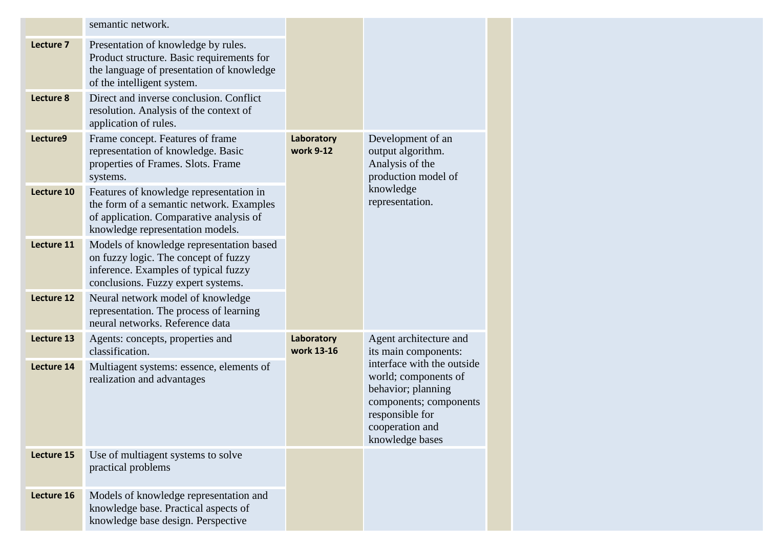|            | semantic network.                                                                                                                                                  |                          |                                                                                                                                                             |  |
|------------|--------------------------------------------------------------------------------------------------------------------------------------------------------------------|--------------------------|-------------------------------------------------------------------------------------------------------------------------------------------------------------|--|
| Lecture 7  | Presentation of knowledge by rules.<br>Product structure. Basic requirements for<br>the language of presentation of knowledge<br>of the intelligent system.        |                          |                                                                                                                                                             |  |
| Lecture 8  | Direct and inverse conclusion. Conflict<br>resolution. Analysis of the context of<br>application of rules.                                                         |                          |                                                                                                                                                             |  |
| Lecture9   | Frame concept. Features of frame<br>representation of knowledge. Basic<br>properties of Frames. Slots. Frame<br>systems.                                           | Laboratory<br>work 9-12  | Development of an<br>output algorithm.<br>Analysis of the<br>production model of                                                                            |  |
| Lecture 10 | Features of knowledge representation in<br>the form of a semantic network. Examples<br>of application. Comparative analysis of<br>knowledge representation models. |                          | knowledge<br>representation.                                                                                                                                |  |
| Lecture 11 | Models of knowledge representation based<br>on fuzzy logic. The concept of fuzzy<br>inference. Examples of typical fuzzy<br>conclusions. Fuzzy expert systems.     |                          |                                                                                                                                                             |  |
| Lecture 12 | Neural network model of knowledge<br>representation. The process of learning<br>neural networks. Reference data                                                    |                          |                                                                                                                                                             |  |
| Lecture 13 | Agents: concepts, properties and<br>classification.                                                                                                                | Laboratory<br>work 13-16 | Agent architecture and<br>its main components:                                                                                                              |  |
| Lecture 14 | Multiagent systems: essence, elements of<br>realization and advantages                                                                                             |                          | interface with the outside<br>world; components of<br>behavior; planning<br>components; components<br>responsible for<br>cooperation and<br>knowledge bases |  |
| Lecture 15 | Use of multiagent systems to solve<br>practical problems                                                                                                           |                          |                                                                                                                                                             |  |
| Lecture 16 | Models of knowledge representation and<br>knowledge base. Practical aspects of<br>knowledge base design. Perspective                                               |                          |                                                                                                                                                             |  |